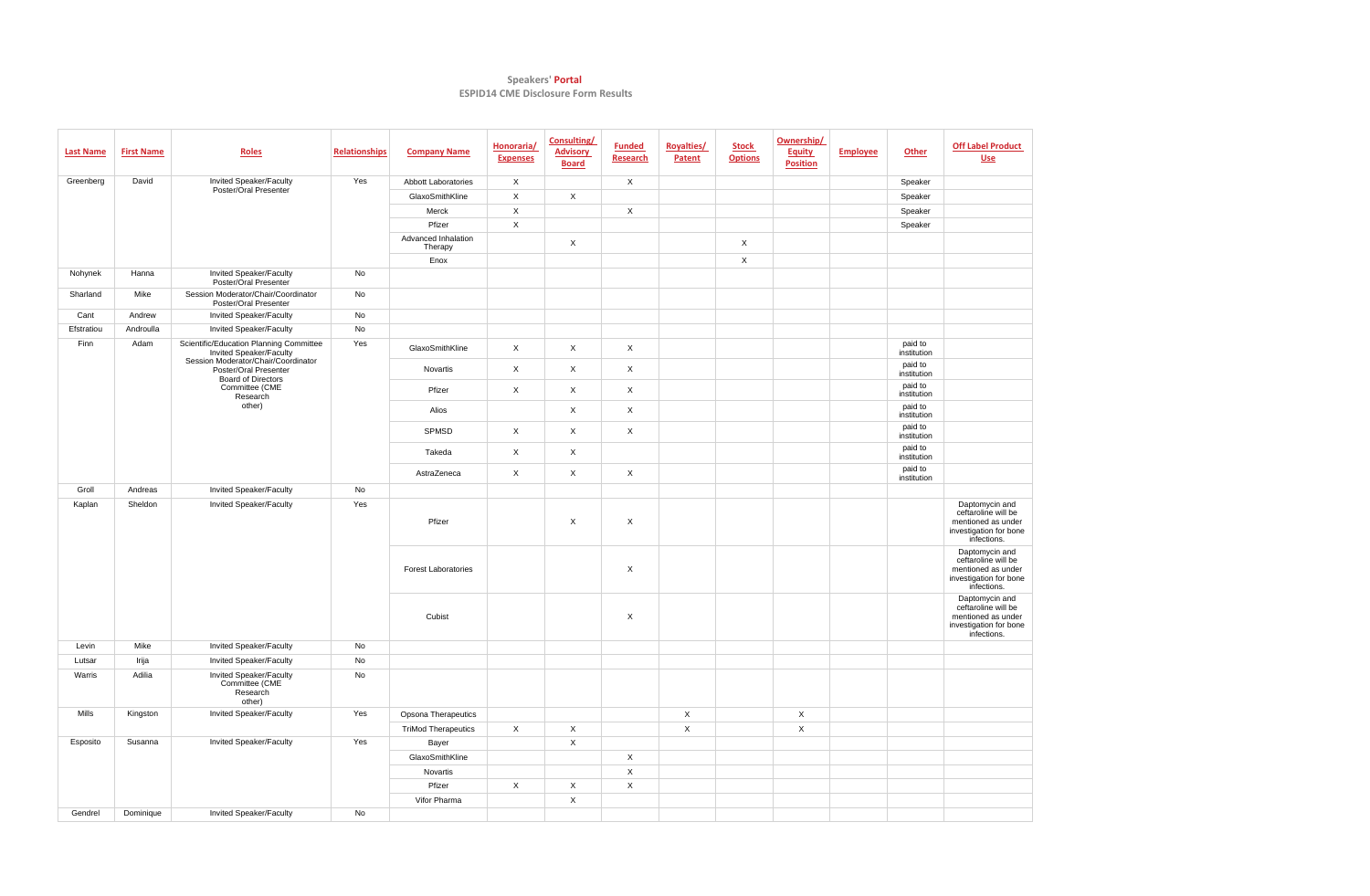## **Speakers' Portal ESPID14 CME Disclosure Form Results**

| <b>Last Name</b> | <b>First Name</b> | Roles                                                                                                                             | <b>Relationships</b> | <b>Company Name</b>            | Honoraria/<br><b>Expenses</b> | <b>Consulting/</b><br><b>Advisory</b><br><b>Board</b> | <b>Funded</b><br><b>Research</b> | <b>Royalties/</b><br>Patent | <b>Stock</b><br><b>Options</b> | Ownership/<br><b>Equity</b><br><b>Position</b> | <b>Employee</b> | <b>Other</b>           | <b>Off Label Product</b><br><b>Use</b>                                                               |
|------------------|-------------------|-----------------------------------------------------------------------------------------------------------------------------------|----------------------|--------------------------------|-------------------------------|-------------------------------------------------------|----------------------------------|-----------------------------|--------------------------------|------------------------------------------------|-----------------|------------------------|------------------------------------------------------------------------------------------------------|
| Greenberg        | David             | Invited Speaker/Faculty<br>Poster/Oral Presenter                                                                                  | Yes                  | <b>Abbott Laboratories</b>     | X                             |                                                       | $\mathsf X$                      |                             |                                |                                                |                 | Speaker                |                                                                                                      |
|                  |                   |                                                                                                                                   |                      | GlaxoSmithKline                | X                             | $\mathsf{X}$                                          |                                  |                             |                                |                                                |                 | Speaker                |                                                                                                      |
|                  |                   |                                                                                                                                   |                      | Merck                          | X                             |                                                       | $\pmb{\times}$                   |                             |                                |                                                |                 | Speaker                |                                                                                                      |
|                  |                   |                                                                                                                                   |                      | Pfizer                         | $\mathsf X$                   |                                                       |                                  |                             |                                |                                                |                 | Speaker                |                                                                                                      |
|                  |                   |                                                                                                                                   |                      | Advanced Inhalation<br>Therapy |                               | $\mathsf{X}$                                          |                                  |                             | $\mathsf X$                    |                                                |                 |                        |                                                                                                      |
|                  |                   |                                                                                                                                   |                      | Enox                           |                               |                                                       |                                  |                             | $\mathsf X$                    |                                                |                 |                        |                                                                                                      |
| Nohynek          | Hanna             | Invited Speaker/Faculty<br>Poster/Oral Presenter                                                                                  | No                   |                                |                               |                                                       |                                  |                             |                                |                                                |                 |                        |                                                                                                      |
| Sharland         | Mike              | Session Moderator/Chair/Coordinator<br>Poster/Oral Presenter                                                                      | No                   |                                |                               |                                                       |                                  |                             |                                |                                                |                 |                        |                                                                                                      |
| Cant             | Andrew            | <b>Invited Speaker/Faculty</b>                                                                                                    | No                   |                                |                               |                                                       |                                  |                             |                                |                                                |                 |                        |                                                                                                      |
| Efstratiou       | Androulla         | Invited Speaker/Faculty                                                                                                           | No                   |                                |                               |                                                       |                                  |                             |                                |                                                |                 |                        |                                                                                                      |
| Finn             | Adam              | Scientific/Education Planning Committee<br>Invited Speaker/Faculty                                                                | Yes                  | GlaxoSmithKline                | $\mathsf{X}$                  | $\mathsf{X}$                                          | $\mathsf X$                      |                             |                                |                                                |                 | paid to<br>institution |                                                                                                      |
|                  |                   | Session Moderator/Chair/Coordinator<br>Poster/Oral Presenter<br><b>Board of Directors</b><br>Committee (CME<br>Research<br>other) |                      | Novartis                       | $\mathsf{X}$                  | $\mathsf{X}$                                          | $\mathsf{X}$                     |                             |                                |                                                |                 | paid to<br>institution |                                                                                                      |
|                  |                   |                                                                                                                                   |                      | Pfizer                         | $\mathsf{X}$                  | $\mathsf{X}$                                          | $\mathsf X$                      |                             |                                |                                                |                 | paid to<br>institution |                                                                                                      |
|                  |                   |                                                                                                                                   |                      | Alios                          |                               | $\mathsf{X}$                                          | $\mathsf{X}$                     |                             |                                |                                                |                 | paid to<br>institution |                                                                                                      |
|                  |                   |                                                                                                                                   |                      | SPMSD                          | $\mathsf{X}$                  | $\mathsf{X}$                                          | $\mathsf X$                      |                             |                                |                                                |                 | paid to<br>institution |                                                                                                      |
|                  |                   |                                                                                                                                   |                      | Takeda                         | $\mathsf{X}$                  | $\mathsf{X}$                                          |                                  |                             |                                |                                                |                 | paid to<br>institution |                                                                                                      |
|                  |                   |                                                                                                                                   |                      | AstraZeneca                    | $\mathsf{X}$                  | X                                                     | $\mathsf X$                      |                             |                                |                                                |                 | paid to<br>institution |                                                                                                      |
| Groll            | Andreas           | <b>Invited Speaker/Faculty</b>                                                                                                    | No                   |                                |                               |                                                       |                                  |                             |                                |                                                |                 |                        |                                                                                                      |
| Kaplan           | Sheldon           | <b>Invited Speaker/Faculty</b>                                                                                                    | Yes                  | Pfizer                         |                               | $\mathsf{X}$                                          | $\mathsf{X}$                     |                             |                                |                                                |                 |                        | Daptomycin and<br>ceftaroline will be<br>mentioned as under<br>investigation for bone<br>infections. |
|                  |                   |                                                                                                                                   |                      | <b>Forest Laboratories</b>     |                               |                                                       | $\boldsymbol{\mathsf{X}}$        |                             |                                |                                                |                 |                        | Daptomycin and<br>ceftaroline will be<br>mentioned as under<br>investigation for bone<br>infections. |
|                  |                   |                                                                                                                                   |                      | Cubist                         |                               |                                                       | X                                |                             |                                |                                                |                 |                        | Daptomycin and<br>ceftaroline will be<br>mentioned as under<br>investigation for bone<br>infections. |
| Levin            | Mike              | <b>Invited Speaker/Faculty</b>                                                                                                    | No                   |                                |                               |                                                       |                                  |                             |                                |                                                |                 |                        |                                                                                                      |
| Lutsar           | Irija             | <b>Invited Speaker/Faculty</b>                                                                                                    | No                   |                                |                               |                                                       |                                  |                             |                                |                                                |                 |                        |                                                                                                      |
| Warris           | Adilia            | <b>Invited Speaker/Faculty</b><br>Committee (CME<br>Research<br>other)                                                            | No                   |                                |                               |                                                       |                                  |                             |                                |                                                |                 |                        |                                                                                                      |
| Mills            | Kingston          | <b>Invited Speaker/Faculty</b>                                                                                                    | Yes                  | Opsona Therapeutics            |                               |                                                       |                                  | $\mathsf{X}$                |                                | X                                              |                 |                        |                                                                                                      |
|                  |                   |                                                                                                                                   |                      | <b>TriMod Therapeutics</b>     | $\mathsf{X}$                  | $\mathsf{X}$                                          |                                  | $\mathsf{X}$                |                                | $\mathsf{X}$                                   |                 |                        |                                                                                                      |
| Esposito         | Susanna           | <b>Invited Speaker/Faculty</b>                                                                                                    | Yes                  | Bayer                          |                               | $\mathsf{X}$                                          |                                  |                             |                                |                                                |                 |                        |                                                                                                      |
|                  |                   |                                                                                                                                   |                      | GlaxoSmithKline                |                               |                                                       | $\pmb{\times}$                   |                             |                                |                                                |                 |                        |                                                                                                      |
|                  |                   |                                                                                                                                   |                      | Novartis                       |                               |                                                       | $\mathsf{X}$                     |                             |                                |                                                |                 |                        |                                                                                                      |
|                  |                   |                                                                                                                                   |                      | Pfizer                         | $\mathsf{X}$                  | $\mathsf{X}$                                          | $\mathsf X$                      |                             |                                |                                                |                 |                        |                                                                                                      |
|                  |                   |                                                                                                                                   |                      | Vifor Pharma                   |                               | $\mathsf{X}$                                          |                                  |                             |                                |                                                |                 |                        |                                                                                                      |
| Gendrel          | Dominique         | <b>Invited Speaker/Faculty</b>                                                                                                    | No                   |                                |                               |                                                       |                                  |                             |                                |                                                |                 |                        |                                                                                                      |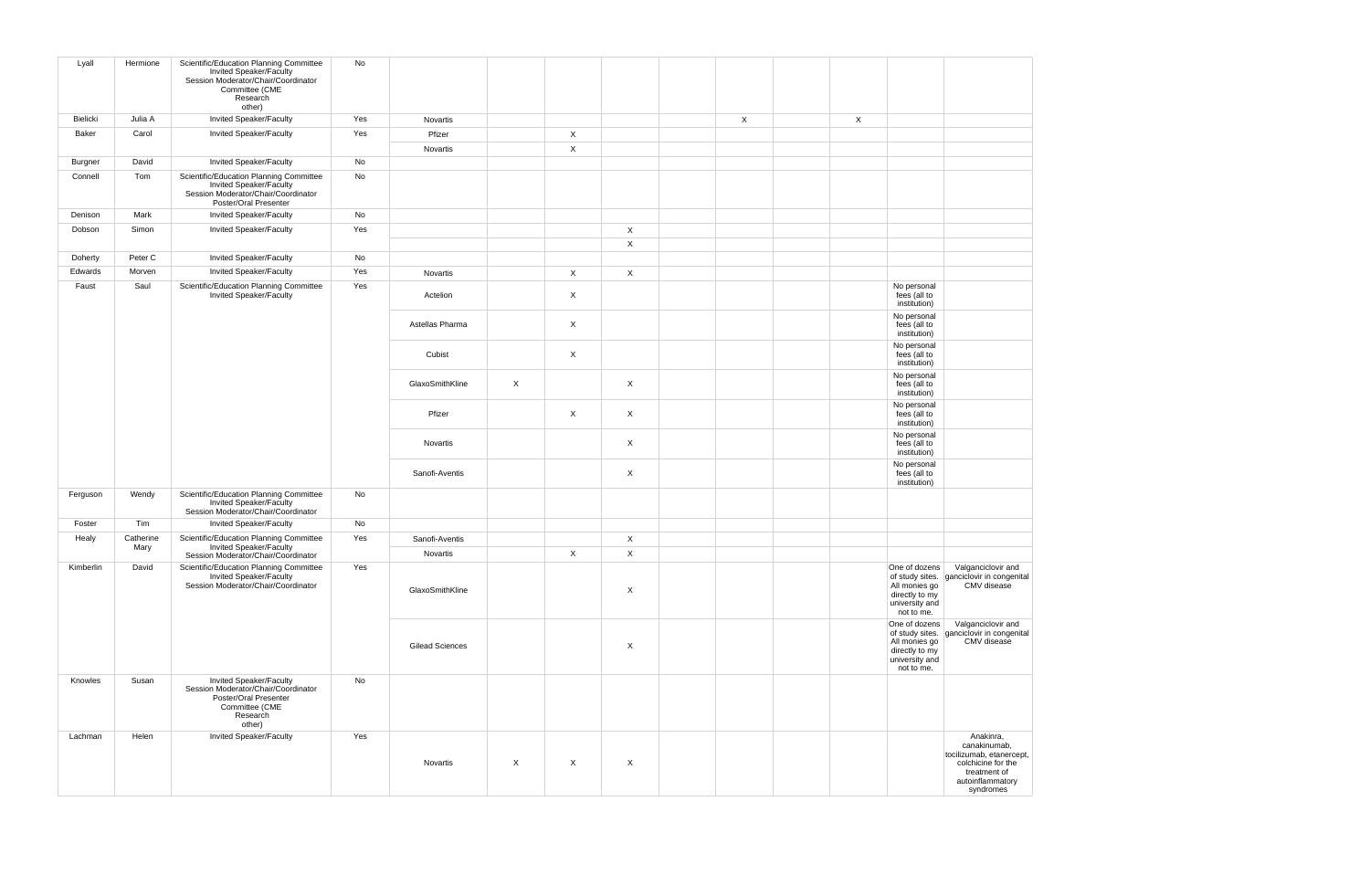| Lyall          | Hermione          | Scientific/Education Planning Committee<br>Invited Speaker/Faculty<br>Session Moderator/Chair/Coordinator<br>Committee (CME<br>Research<br>other) | No  |                        |                           |              |                             |             |              |                                                                                  |                                                                                                                              |
|----------------|-------------------|---------------------------------------------------------------------------------------------------------------------------------------------------|-----|------------------------|---------------------------|--------------|-----------------------------|-------------|--------------|----------------------------------------------------------------------------------|------------------------------------------------------------------------------------------------------------------------------|
| Bielicki       | Julia A           | <b>Invited Speaker/Faculty</b>                                                                                                                    | Yes | Novartis               |                           |              |                             | $\mathsf X$ | $\mathsf{X}$ |                                                                                  |                                                                                                                              |
| <b>Baker</b>   | Carol             | <b>Invited Speaker/Faculty</b>                                                                                                                    | Yes | Pfizer                 |                           | $\mathsf{X}$ |                             |             |              |                                                                                  |                                                                                                                              |
|                |                   |                                                                                                                                                   |     | Novartis               |                           | $\mathsf{X}$ |                             |             |              |                                                                                  |                                                                                                                              |
| <b>Burgner</b> | David             | <b>Invited Speaker/Faculty</b>                                                                                                                    | No  |                        |                           |              |                             |             |              |                                                                                  |                                                                                                                              |
| Connell        | Tom               | Scientific/Education Planning Committee<br>Invited Speaker/Faculty<br>Session Moderator/Chair/Coordinator<br>Poster/Oral Presenter                | No  |                        |                           |              |                             |             |              |                                                                                  |                                                                                                                              |
| Denison        | Mark              | <b>Invited Speaker/Faculty</b>                                                                                                                    | No  |                        |                           |              |                             |             |              |                                                                                  |                                                                                                                              |
| Dobson         | Simon             | <b>Invited Speaker/Faculty</b>                                                                                                                    | Yes |                        |                           |              | $\mathsf{X}$<br>$\mathsf X$ |             |              |                                                                                  |                                                                                                                              |
| Doherty        | Peter C           | <b>Invited Speaker/Faculty</b>                                                                                                                    | No  |                        |                           |              |                             |             |              |                                                                                  |                                                                                                                              |
| Edwards        | Morven            | <b>Invited Speaker/Faculty</b>                                                                                                                    | Yes | Novartis               |                           | $\mathsf{X}$ | $\mathsf X$                 |             |              |                                                                                  |                                                                                                                              |
| Faust          | Saul              | Scientific/Education Planning Committee<br>Invited Speaker/Faculty                                                                                | Yes | Actelion               |                           | $\mathsf{X}$ |                             |             |              | No personal<br>fees (all to<br>institution)                                      |                                                                                                                              |
|                |                   |                                                                                                                                                   |     | Astellas Pharma        |                           | X            |                             |             |              | No personal<br>fees (all to<br>institution)                                      |                                                                                                                              |
|                |                   |                                                                                                                                                   |     | Cubist                 |                           | $\mathsf{X}$ |                             |             |              | No personal<br>fees (all to<br>institution)                                      |                                                                                                                              |
|                |                   |                                                                                                                                                   |     | GlaxoSmithKline        | $\mathsf{X}$              |              | $\sf X$                     |             |              | No personal<br>fees (all to<br>institution)                                      |                                                                                                                              |
|                |                   |                                                                                                                                                   |     | Pfizer                 |                           | X            | $\boldsymbol{\mathsf{X}}$   |             |              | No personal<br>fees (all to<br>institution)                                      |                                                                                                                              |
|                |                   |                                                                                                                                                   |     | Novartis               |                           |              | $\boldsymbol{X}$            |             |              | No personal<br>fees (all to<br>institution)                                      |                                                                                                                              |
|                |                   |                                                                                                                                                   |     | Sanofi-Aventis         |                           |              | $\boldsymbol{X}$            |             |              | No personal<br>fees (all to<br>institution)                                      |                                                                                                                              |
| Ferguson       | Wendy             | Scientific/Education Planning Committee<br>Invited Speaker/Faculty<br>Session Moderator/Chair/Coordinator                                         | No  |                        |                           |              |                             |             |              |                                                                                  |                                                                                                                              |
| Foster         | Tim               | <b>Invited Speaker/Faculty</b>                                                                                                                    | No  |                        |                           |              |                             |             |              |                                                                                  |                                                                                                                              |
| Healy          | Catherine<br>Mary | Scientific/Education Planning Committee<br>Invited Speaker/Faculty                                                                                | Yes | Sanofi-Aventis         |                           |              | $\boldsymbol{\mathsf{X}}$   |             |              |                                                                                  |                                                                                                                              |
|                |                   | Session Moderator/Chair/Coordinator                                                                                                               |     | Novartis               |                           | $\mathsf{X}$ | $\boldsymbol{\mathsf{X}}$   |             |              |                                                                                  |                                                                                                                              |
| Kimberlin      | David             | Scientific/Education Planning Committee<br>Invited Speaker/Faculty<br>Session Moderator/Chair/Coordinator                                         | Yes | GlaxoSmithKline        |                           |              | $\boldsymbol{X}$            |             |              | One of dozens<br>All monies go<br>directly to my<br>university and<br>not to me. | Valganciclovir and<br>of study sites. ganciclovir in congenital<br>CMV disease                                               |
|                |                   |                                                                                                                                                   |     | <b>Gilead Sciences</b> |                           |              | $\boldsymbol{\mathsf{X}}$   |             |              | One of dozens<br>All monies go<br>directly to my<br>university and<br>not to me. | Valganciclovir and<br>of study sites. ganciclovir in congenital<br>CMV disease                                               |
| Knowles        | Susan             | Invited Speaker/Faculty<br>Session Moderator/Chair/Coordinator<br>Poster/Oral Presenter<br>Committee (CME<br>Research<br>other)                   | No  |                        |                           |              |                             |             |              |                                                                                  |                                                                                                                              |
| Lachman        | Helen             | Invited Speaker/Faculty                                                                                                                           | Yes | Novartis               | $\boldsymbol{\mathsf{X}}$ | X            | $\boldsymbol{X}$            |             |              |                                                                                  | Anakinra,<br>canakinumab,<br>tocilizumab, etanercept,<br>colchicine for the<br>treatment of<br>autoinflammatory<br>syndromes |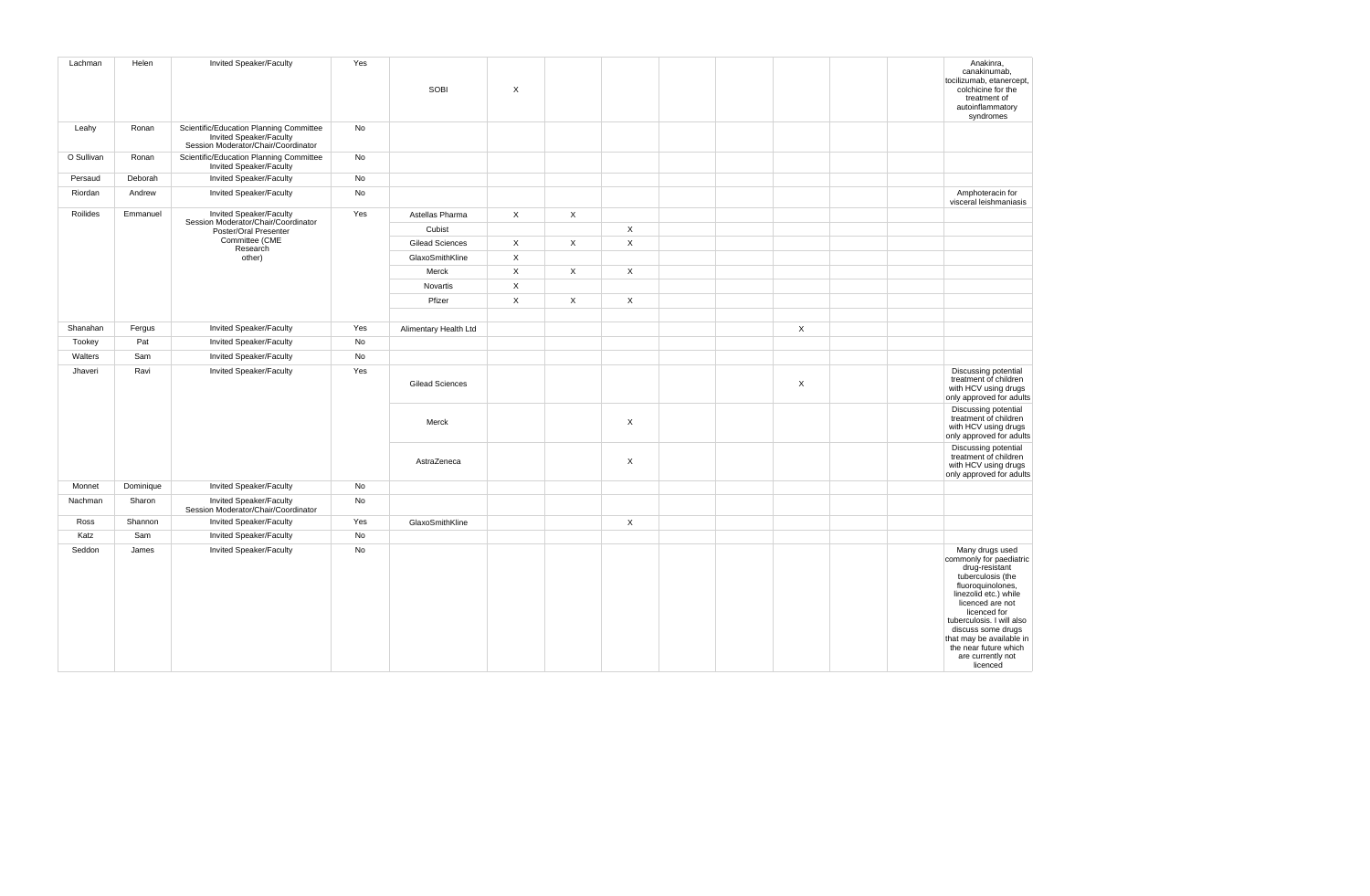| Lachman    | Helen     | Invited Speaker/Faculty                                                                                   | Yes | SOBI                   | $\mathsf{X}$ |              |                |  |                           |  | Anakinra,<br>canakinumab,<br>tocilizumab, etanercept,<br>colchicine for the<br>treatment of<br>autoinflammatory<br>syndromes                                                                                                                                                                                 |
|------------|-----------|-----------------------------------------------------------------------------------------------------------|-----|------------------------|--------------|--------------|----------------|--|---------------------------|--|--------------------------------------------------------------------------------------------------------------------------------------------------------------------------------------------------------------------------------------------------------------------------------------------------------------|
| Leahy      | Ronan     | Scientific/Education Planning Committee<br>Invited Speaker/Faculty<br>Session Moderator/Chair/Coordinator | No  |                        |              |              |                |  |                           |  |                                                                                                                                                                                                                                                                                                              |
| O Sullivan | Ronan     | Scientific/Education Planning Committee<br>Invited Speaker/Faculty                                        | No  |                        |              |              |                |  |                           |  |                                                                                                                                                                                                                                                                                                              |
| Persaud    | Deborah   | <b>Invited Speaker/Faculty</b>                                                                            | No  |                        |              |              |                |  |                           |  |                                                                                                                                                                                                                                                                                                              |
| Riordan    | Andrew    | Invited Speaker/Faculty                                                                                   | No  |                        |              |              |                |  |                           |  | Amphoteracin for<br>visceral leishmaniasis                                                                                                                                                                                                                                                                   |
| Roilides   | Emmanuel  | <b>Invited Speaker/Faculty</b>                                                                            | Yes | Astellas Pharma        | $\mathsf{X}$ | $\mathsf{X}$ |                |  |                           |  |                                                                                                                                                                                                                                                                                                              |
|            |           | Session Moderator/Chair/Coordinator<br>Poster/Oral Presenter                                              |     | Cubist                 |              |              | $\pmb{\times}$ |  |                           |  |                                                                                                                                                                                                                                                                                                              |
|            |           | Committee (CME<br>Research                                                                                |     | <b>Gilead Sciences</b> | $\mathsf{X}$ | $\mathsf{X}$ | $\mathsf{X}$   |  |                           |  |                                                                                                                                                                                                                                                                                                              |
|            |           | other)                                                                                                    |     | GlaxoSmithKline        | $\mathsf{X}$ |              |                |  |                           |  |                                                                                                                                                                                                                                                                                                              |
|            |           |                                                                                                           |     | Merck                  | $\mathsf{X}$ | $\mathsf{X}$ | $\mathsf{X}$   |  |                           |  |                                                                                                                                                                                                                                                                                                              |
|            |           |                                                                                                           |     | Novartis               | $\mathsf X$  |              |                |  |                           |  |                                                                                                                                                                                                                                                                                                              |
|            |           |                                                                                                           |     | Pfizer                 | $\mathsf{X}$ | $\mathsf{X}$ | $\mathsf{X}$   |  |                           |  |                                                                                                                                                                                                                                                                                                              |
|            |           |                                                                                                           |     |                        |              |              |                |  |                           |  |                                                                                                                                                                                                                                                                                                              |
| Shanahan   | Fergus    | Invited Speaker/Faculty                                                                                   | Yes | Alimentary Health Ltd  |              |              |                |  | $\mathsf X$               |  |                                                                                                                                                                                                                                                                                                              |
| Tookey     | Pat       | Invited Speaker/Faculty                                                                                   | No  |                        |              |              |                |  |                           |  |                                                                                                                                                                                                                                                                                                              |
| Walters    | Sam       | Invited Speaker/Faculty                                                                                   | No  |                        |              |              |                |  |                           |  |                                                                                                                                                                                                                                                                                                              |
| Jhaveri    | Ravi      | Invited Speaker/Faculty                                                                                   | Yes | <b>Gilead Sciences</b> |              |              |                |  | $\boldsymbol{\mathsf{X}}$ |  | Discussing potential<br>treatment of children<br>with HCV using drugs<br>only approved for adults                                                                                                                                                                                                            |
|            |           |                                                                                                           |     | Merck                  |              |              | $\mathsf X$    |  |                           |  | Discussing potential<br>treatment of children<br>with HCV using drugs<br>only approved for adults                                                                                                                                                                                                            |
|            |           |                                                                                                           |     | AstraZeneca            |              |              | $\mathsf{X}$   |  |                           |  | Discussing potential<br>treatment of children<br>with HCV using drugs<br>only approved for adults                                                                                                                                                                                                            |
| Monnet     | Dominique | <b>Invited Speaker/Faculty</b>                                                                            | No  |                        |              |              |                |  |                           |  |                                                                                                                                                                                                                                                                                                              |
| Nachman    | Sharon    | Invited Speaker/Faculty<br>Session Moderator/Chair/Coordinator                                            | No  |                        |              |              |                |  |                           |  |                                                                                                                                                                                                                                                                                                              |
| Ross       | Shannon   | <b>Invited Speaker/Faculty</b>                                                                            | Yes | GlaxoSmithKline        |              |              | $\mathsf{X}$   |  |                           |  |                                                                                                                                                                                                                                                                                                              |
| Katz       | Sam       | Invited Speaker/Faculty                                                                                   | No  |                        |              |              |                |  |                           |  |                                                                                                                                                                                                                                                                                                              |
| Seddon     | James     | Invited Speaker/Faculty                                                                                   | No  |                        |              |              |                |  |                           |  | Many drugs used<br>commonly for paediatric<br>drug-resistant<br>tuberculosis (the<br>fluoroquinolones,<br>linezolid etc.) while<br>licenced are not<br>licenced for<br>tuberculosis. I will also<br>discuss some drugs<br>that may be available in<br>the near future which<br>are currently not<br>licenced |